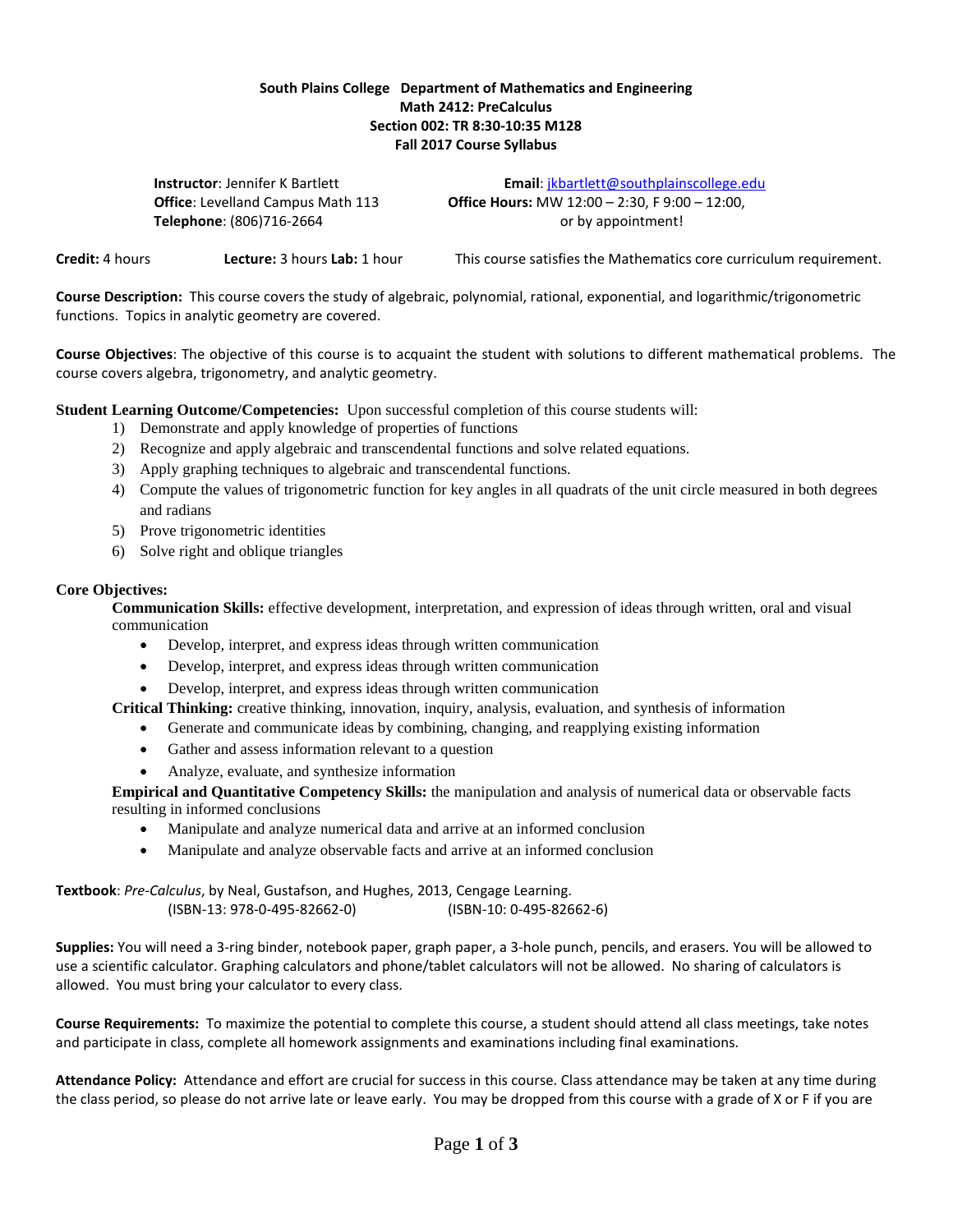## **South Plains College Department of Mathematics and Engineering Math 2412: PreCalculus Section 002: TR 8:30-10:35 M128 Fall 2017 Course Syllabus**

**Telephone**: (806)716-2664 or by appointment!

**Instructor**: Jennifer K Bartlett **Email**: [jkbartlett@southplainscollege.edu](mailto:jkbartlett@southplainscollege.edu) **Office**: Levelland Campus Math 113 **Office Hours:** MW 12:00 – 2:30, F 9:00 – 12:00,

**Credit:** 4 hours **Lecture:** 3 hours **Lab:** 1 hour This course satisfies the Mathematics core curriculum requirement.

**Course Description:** This course covers the study of algebraic, polynomial, rational, exponential, and logarithmic/trigonometric functions. Topics in analytic geometry are covered.

**Course Objectives**: The objective of this course is to acquaint the student with solutions to different mathematical problems. The course covers algebra, trigonometry, and analytic geometry.

**Student Learning Outcome/Competencies:** Upon successful completion of this course students will:

- 1) Demonstrate and apply knowledge of properties of functions
- 2) Recognize and apply algebraic and transcendental functions and solve related equations.
- 3) Apply graphing techniques to algebraic and transcendental functions.
- 4) Compute the values of trigonometric function for key angles in all quadrats of the unit circle measured in both degrees and radians
- 5) Prove trigonometric identities
- 6) Solve right and oblique triangles

## **Core Objectives:**

**Communication Skills:** effective development, interpretation, and expression of ideas through written, oral and visual communication

- Develop, interpret, and express ideas through written communication
- Develop, interpret, and express ideas through written communication
- Develop, interpret, and express ideas through written communication

**Critical Thinking:** creative thinking, innovation, inquiry, analysis, evaluation, and synthesis of information

- Generate and communicate ideas by combining, changing, and reapplying existing information
- Gather and assess information relevant to a question
- Analyze, evaluate, and synthesize information

**Empirical and Quantitative Competency Skills:** the manipulation and analysis of numerical data or observable facts resulting in informed conclusions

- Manipulate and analyze numerical data and arrive at an informed conclusion
- Manipulate and analyze observable facts and arrive at an informed conclusion

**Textbook**: *Pre-Calculus*, by Neal, Gustafson, and Hughes, 2013, Cengage Learning. (ISBN-13: 978-0-495-82662-0) (ISBN-10: 0-495-82662-6)

**Supplies:** You will need a 3-ring binder, notebook paper, graph paper, a 3-hole punch, pencils, and erasers. You will be allowed to use a scientific calculator. Graphing calculators and phone/tablet calculators will not be allowed. No sharing of calculators is allowed. You must bring your calculator to every class.

**Course Requirements:** To maximize the potential to complete this course, a student should attend all class meetings, take notes and participate in class, complete all homework assignments and examinations including final examinations.

**Attendance Policy:** Attendance and effort are crucial for success in this course. Class attendance may be taken at any time during the class period, so please do not arrive late or leave early. You may be dropped from this course with a grade of X or F if you are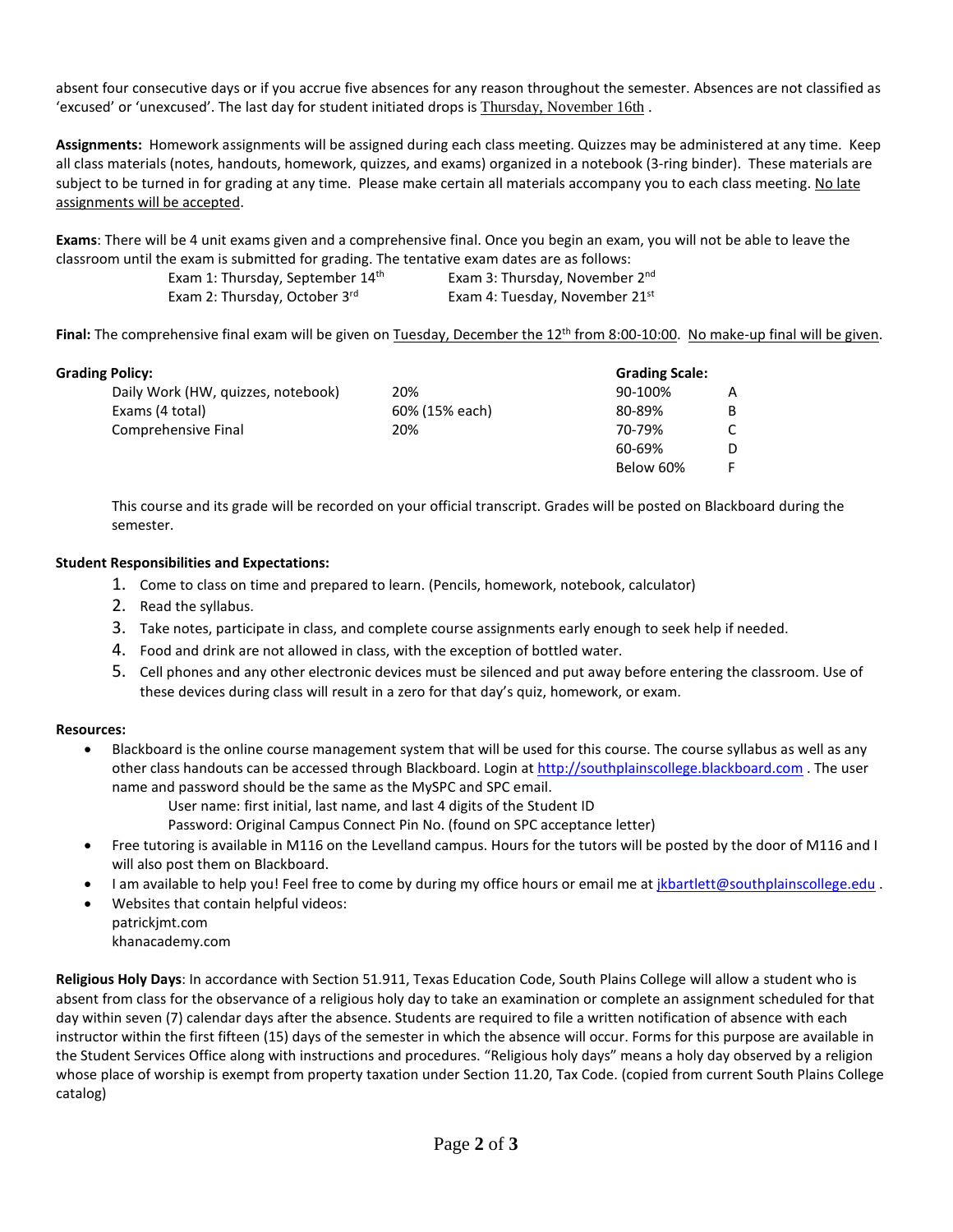absent four consecutive days or if you accrue five absences for any reason throughout the semester. Absences are not classified as 'excused' or 'unexcused'. The last day for student initiated drops is Thursday, November 16th .

**Assignments:** Homework assignments will be assigned during each class meeting. Quizzes may be administered at any time. Keep all class materials (notes, handouts, homework, quizzes, and exams) organized in a notebook (3-ring binder). These materials are subject to be turned in for grading at any time. Please make certain all materials accompany you to each class meeting. No late assignments will be accepted.

**Exams**: There will be 4 unit exams given and a comprehensive final. Once you begin an exam, you will not be able to leave the classroom until the exam is submitted for grading. The tentative exam dates are as follows:

| Exam 1: Thursday, September 14 <sup>th</sup> | Exam 3: Thursday, November 2 <sup>nd</sup> |
|----------------------------------------------|--------------------------------------------|
| Exam 2: Thursday, October 3 <sup>rd</sup>    | Exam 4: Tuesday, November 21st             |

Final: The comprehensive final exam will be given on Tuesday, December the 12<sup>th</sup> from 8:00-10:00. No make-up final will be given.

| <b>Grading Policy:</b>             |                | <b>Grading Scale:</b> |    |
|------------------------------------|----------------|-----------------------|----|
| Daily Work (HW, quizzes, notebook) | 20%            | 90-100%               | A  |
| Exams (4 total)                    | 60% (15% each) | 80-89%                | B  |
| Comprehensive Final                | 20%            | 70-79%                | C. |
|                                    |                | 60-69%                | D  |
|                                    |                | Below 60%             |    |

This course and its grade will be recorded on your official transcript. Grades will be posted on Blackboard during the semester.

## **Student Responsibilities and Expectations:**

- 1. Come to class on time and prepared to learn. (Pencils, homework, notebook, calculator)
- 2. Read the syllabus.
- 3. Take notes, participate in class, and complete course assignments early enough to seek help if needed.
- 4. Food and drink are not allowed in class, with the exception of bottled water.
- 5. Cell phones and any other electronic devices must be silenced and put away before entering the classroom. Use of these devices during class will result in a zero for that day's quiz, homework, or exam.

## **Resources:**

- Blackboard is the online course management system that will be used for this course. The course syllabus as well as any other class handouts can be accessed through Blackboard. Login a[t http://southplainscollege.blackboard.com](http://southplainscollege.blackboard.com/) . The user name and password should be the same as the MySPC and SPC email.
	- User name: first initial, last name, and last 4 digits of the Student ID
	- Password: Original Campus Connect Pin No. (found on SPC acceptance letter)
- Free tutoring is available in M116 on the Levelland campus. Hours for the tutors will be posted by the door of M116 and I will also post them on Blackboard.
- I am available to help you! Feel free to come by during my office hours or email me at *jkbartlett@southplainscollege.edu* .
- Websites that contain helpful videos: patrickjmt.com
	- khanacademy.com

**Religious Holy Days**: In accordance with Section 51.911, Texas Education Code, South Plains College will allow a student who is absent from class for the observance of a religious holy day to take an examination or complete an assignment scheduled for that day within seven (7) calendar days after the absence. Students are required to file a written notification of absence with each instructor within the first fifteen (15) days of the semester in which the absence will occur. Forms for this purpose are available in the Student Services Office along with instructions and procedures. "Religious holy days" means a holy day observed by a religion whose place of worship is exempt from property taxation under Section 11.20, Tax Code. (copied from current South Plains College catalog)